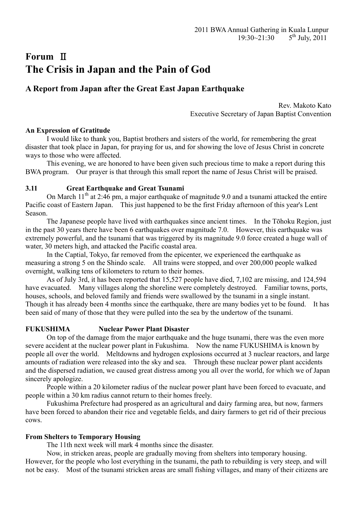# **Forum** Ⅱ **The Crisis in Japan and the Pain of God**

# **A Report from Japan after the Great East Japan Earthquake**

Rev. Makoto Kato Executive Secretary of Japan Baptist Convention

# **An Expression of Gratitude**

I would like to thank you, Baptist brothers and sisters of the world, for remembering the great disaster that took place in Japan, for praying for us, and for showing the love of Jesus Christ in concrete ways to those who were affected.

 This evening, we are honored to have been given such precious time to make a report during this BWA program. Our prayer is that through this small report the name of Jesus Christ will be praised.

# **3.11 Great Earthquake and Great Tsunami**

On March  $11<sup>th</sup>$  at 2:46 pm, a major earthquake of magnitude 9.0 and a tsunami attacked the entire Pacific coast of Eastern Japan. This just happened to be the first Friday afternoon of this year's Lent Season.

 The Japanese people have lived with earthquakes since ancient times. In the Tōhoku Region, just in the past 30 years there have been 6 earthquakes over magnitude 7.0. However, this earthquake was extremely powerful, and the tsunami that was triggered by its magnitude 9.0 force created a huge wall of water, 30 meters high, and attacked the Pacific coastal area.

 In the Captial, Tokyo, far removed from the epicenter, we experienced the earthquake as measuring a strong 5 on the Shindo scale. All trains were stopped, and over 200,000 people walked overnight, walking tens of kilometers to return to their homes.

 As of July 3rd, it has been reported that 15,527 people have died, 7,102 are missing, and 124,594 have evacuated. Many villages along the shoreline were completely destroyed. Familiar towns, ports, houses, schools, and beloved family and friends were swallowed by the tsunami in a single instant. Though it has already been 4 months since the earthquake, there are many bodies yet to be found. It has been said of many of those that they were pulled into the sea by the undertow of the tsunami.

# **FUKUSHIMA Nuclear Power Plant Disaster**

On top of the damage from the major earthquake and the huge tsunami, there was the even more severe accident at the nuclear power plant in Fukushima. Now the name FUKUSHIMA is known by people all over the world. Meltdowns and hydrogen explosions occurred at 3 nuclear reactors, and large amounts of radiation were released into the sky and sea. Through these nuclear power plant accidents and the dispersed radiation, we caused great distress among you all over the world, for which we of Japan sincerely apologize.

 People within a 20 kilometer radius of the nuclear power plant have been forced to evacuate, and people within a 30 km radius cannot return to their homes freely.

 Fukushima Prefecture had prospered as an agricultural and dairy farming area, but now, farmers have been forced to abandon their rice and vegetable fields, and dairy farmers to get rid of their precious cows.

# **From Shelters to Temporary Housing**

The 11th next week will mark 4 months since the disaster.

 Now, in stricken areas, people are gradually moving from shelters into temporary housing. However, for the people who lost everything in the tsunami, the path to rebuilding is very steep, and will not be easy. Most of the tsunami stricken areas are small fishing villages, and many of their citizens are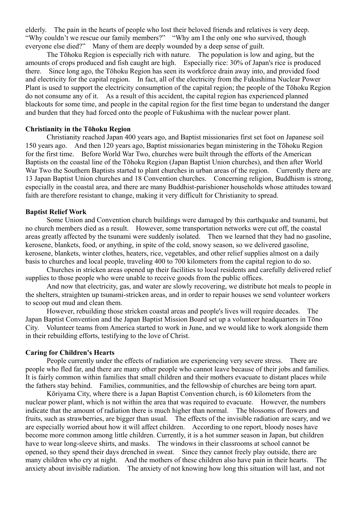elderly. The pain in the hearts of people who lost their beloved friends and relatives is very deep. "Why couldn't we rescue our family members?" "Why am I the only one who survived, though everyone else died?" Many of them are deeply wounded by a deep sense of guilt.

The Tōhoku Region is especially rich with nature. The population is low and aging, but the amounts of crops produced and fish caught are high. Especially rice: 30% of Japan's rice is produced there. Since long ago, the Tōhoku Region has seen its workforce drain away into, and provided food and electricity for the capital region. In fact, all of the electricity from the Fukushima Nuclear Power Plant is used to support the electricity consumption of the capital region; the people of the Tōhoku Region do not consume any of it. As a result of this accident, the capital region has experienced planned blackouts for some time, and people in the capital region for the first time began to understand the danger and burden that they had forced onto the people of Fukushima with the nuclear power plant.

#### **Christianity in the Tōhoku Region**

Christianity reached Japan 400 years ago, and Baptist missionaries first set foot on Japanese soil 150 years ago. And then 120 years ago, Baptist missionaries began ministering in the Tōhoku Region for the first time. Before World War Two, churches were built through the efforts of the American Baptists on the coastal line of the Tōhoku Region (Japan Baptist Union churches), and then after World War Two the Southern Baptists started to plant churches in urban areas of the region. Currently there are 13 Japan Baptist Union churches and 18 Convention churches. Concerning religion, Buddhism is strong, especially in the coastal area, and there are many Buddhist-parishioner households whose attitudes toward faith are therefore resistant to change, making it very difficult for Christianity to spread.

#### **Baptist Relief Work**

Some Union and Convention church buildings were damaged by this earthquake and tsunami, but no church members died as a result. However, some transportation networks were cut off, the coastal areas greatly affected by the tsunami were suddenly isolated. Then we learned that they had no gasoline, kerosene, blankets, food, or anything, in spite of the cold, snowy season, so we delivered gasoline, kerosene, blankets, winter clothes, heaters, rice, vegetables, and other relief supplies almost on a daily basis to churches and local people, traveling 400 to 700 kilometers from the capital region to do so.

 Churches in stricken areas opened up their facilities to local residents and carefully delivered relief supplies to those people who were unable to receive goods from the public offices.

 And now that electricity, gas, and water are slowly recovering, we distribute hot meals to people in the shelters, straighten up tsunami-stricken areas, and in order to repair houses we send volunteer workers to scoop out mud and clean them.

 However, rebuilding those stricken coastal areas and people's lives will require decades. The Japan Baptist Convention and the Japan Baptist Mission Board set up a volunteer headquarters in Tōno City. Volunteer teams from America started to work in June, and we would like to work alongside them in their rebuilding efforts, testifying to the love of Christ.

#### **Caring for Children's Hearts**

People currently under the effects of radiation are experiencing very severe stress. There are people who fled far, and there are many other people who cannot leave because of their jobs and families. It is fairly common within families that small children and their mothers evacuate to distant places while the fathers stay behind. Families, communities, and the fellowship of churches are being torn apart.

Kōriyama City, where there is a Japan Baptist Convention church, is 60 kilometers from the nuclear power plant, which is not within the area that was required to evacuate. However, the numbers indicate that the amount of radiation there is much higher than normal. The blossoms of flowers and fruits, such as strawberries, are bigger than usual. The effects of the invisible radiation are scary, and we are especially worried about how it will affect children. According to one report, bloody noses have become more common among little children. Currently, it is a hot summer season in Japan, but children have to wear long-sleeve shirts, and masks. The windows in their classrooms at school cannot be opened, so they spend their days drenched in sweat. Since they cannot freely play outside, there are many children who cry at night. And the mothers of these children also have pain in their hearts. The anxiety about invisible radiation. The anxiety of not knowing how long this situation will last, and not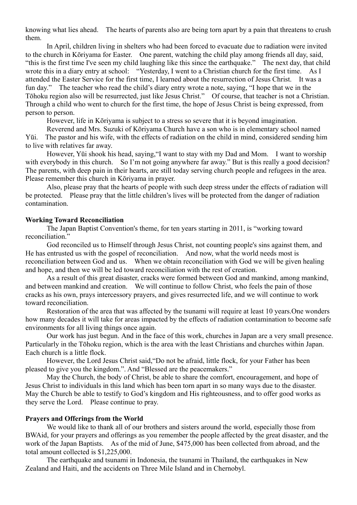knowing what lies ahead. The hearts of parents also are being torn apart by a pain that threatens to crush them.

In April, children living in shelters who had been forced to evacuate due to radiation were invited to the church in Kōriyama for Easter. One parent, watching the child play among friends all day, said, "this is the first time I've seen my child laughing like this since the earthquake." The next day, that child wrote this in a diary entry at school: "Yesterday, I went to a Christian church for the first time. As I attended the Easter Service for the first time, I learned about the resurrection of Jesus Christ. It was a fun day." The teacher who read the child's diary entry wrote a note, saying, "I hope that we in the Tōhoku region also will be resurrected, just like Jesus Christ." Of course, that teacher is not a Christian. Through a child who went to church for the first time, the hope of Jesus Christ is being expressed, from person to person.

However, life in Kōriyama is subject to a stress so severe that it is beyond imagination.

Reverend and Mrs. Suzuki of Kōriyama Church have a son who is in elementary school named Yūi. The pastor and his wife, with the effects of radiation on the child in mind, considered sending him to live with relatives far away.

However, Yūi shook his head, saying,"I want to stay with my Dad and Mom. I want to worship with everybody in this church. So I'm not going anywhere far away." But is this really a good decision? The parents, with deep pain in their hearts, are still today serving church people and refugees in the area. Please remember this church in Kōriyama in prayer.

Also, please pray that the hearts of people with such deep stress under the effects of radiation will be protected. Please pray that the little children's lives will be protected from the danger of radiation contamination.

#### **Working Toward Reconciliation**

The Japan Baptist Convention's theme, for ten years starting in 2011, is "working toward reconciliation."

 God reconciled us to Himself through Jesus Christ, not counting people's sins against them, and He has entrusted us with the gospel of reconciliation. And now, what the world needs most is reconciliation between God and us. When we obtain reconciliation with God we will be given healing and hope, and then we will be led toward reconciliation with the rest of creation.

 As a result of this great disaster, cracks were formed between God and mankind, among mankind, and between mankind and creation. We will continue to follow Christ, who feels the pain of those cracks as his own, prays intercessory prayers, and gives resurrected life, and we will continue to work toward reconciliation.

Restoration of the area that was affected by the tsunami will require at least 10 years.One wonders how many decades it will take for areas impacted by the effects of radiation contamination to become safe environments for all living things once again.

Our work has just begun. And in the face of this work, churches in Japan are a very small presence. Particularly in the Tōhoku region, which is the area with the least Christians and churches within Japan. Each church is a little flock.

However, the Lord Jesus Christ said,"Do not be afraid, little flock, for your Father has been pleased to give you the kingdom.". And "Blessed are the peacemakers."

May the Church, the body of Christ, be able to share the comfort, encouragement, and hope of Jesus Christ to individuals in this land which has been torn apart in so many ways due to the disaster. May the Church be able to testify to God's kingdom and His righteousness, and to offer good works as they serve the Lord. Please continue to pray.

#### **Prayers and Offerings from the World**

We would like to thank all of our brothers and sisters around the world, especially those from BWAid, for your prayers and offerings as you remember the people affected by the great disaster, and the work of the Japan Baptists. As of the mid of June, \$475,000 has been collected from abroad, and the total amount collected is \$1,225,000.

 The earthquake and tsunami in Indonesia, the tsunami in Thailand, the earthquakes in New Zealand and Haiti, and the accidents on Three Mile Island and in Chernobyl.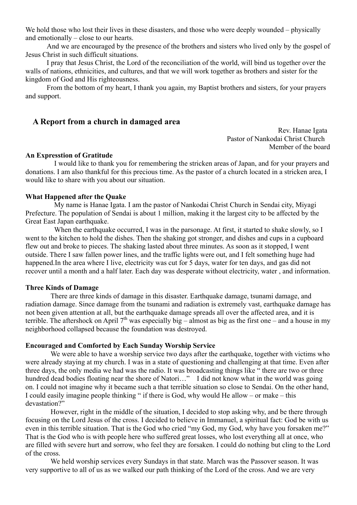We hold those who lost their lives in these disasters, and those who were deeply wounded – physically and emotionally – close to our hearts.

And we are encouraged by the presence of the brothers and sisters who lived only by the gospel of Jesus Christ in such difficult situations.

 I pray that Jesus Christ, the Lord of the reconciliation of the world, will bind us together over the walls of nations, ethnicities, and cultures, and that we will work together as brothers and sister for the kingdom of God and His righteousness.

From the bottom of my heart, I thank you again, my Baptist brothers and sisters, for your prayers and support.

# **A Report from a church in damaged area**

 Rev. Hanae Igata Pastor of Nankodai Christ Church Member of the board

#### **An Expresstion of Gratitude**

I would like to thank you for remembering the stricken areas of Japan, and for your prayers and donations. I am also thankful for this precious time. As the pastor of a church located in a stricken area, I would like to share with you about our situation.

#### **What Happened after the Quake**

My name is Hanae Igata. I am the pastor of Nankodai Christ Church in Sendai city, Miyagi Prefecture. The population of Sendai is about 1 million, making it the largest city to be affected by the Great East Japan earthquake.

When the earthquake occurred, I was in the parsonage. At first, it started to shake slowly, so I went to the kitchen to hold the dishes. Then the shaking got stronger, and dishes and cups in a cupboard flew out and broke to pieces. The shaking lasted about three minutes. As soon as it stopped, I went outside. There I saw fallen power lines, and the traffic lights were out, and I felt something huge had happened.In the area where I live, electricity was cut for 5 days, water for ten days, and gas did not recover until a month and a half later. Each day was desperate without electricity, water , and information.

#### **Three Kinds of Damage**

There are three kinds of damage in this disaster. Earthquake damage, tsunami damage, and radiation damage. Since damage from the tsunami and radiation is extremely vast, earthquake damage has not been given attention at all, but the earthquake damage spreads all over the affected area, and it is terrible. The aftershock on April  $7<sup>th</sup>$  was especially big – almost as big as the first one – and a house in my neighborhood collapsed because the foundation was destroyed.

#### **Encouraged and Comforted by Each Sunday Worship Service**

We were able to have a worship service two days after the earthquake, together with victims who were already staying at my church. I was in a state of questioning and challenging at that time. Even after three days, the only media we had was the radio. It was broadcasting things like " there are two or three hundred dead bodies floating near the shore of Natori..." I did not know what in the world was going on. I could not imagine why it became such a that terrible situation so close to Sendai. On the other hand, I could easily imagine people thinking " if there is God, why would He allow – or make – this devastation?"

However, right in the middle of the situation, I decided to stop asking why, and be there through focusing on the Lord Jesus of the cross. I decided to believe in Immanuel, a spiritual fact: God be with us even in this terrible situation. That is the God who cried "my God, my God, why have you forsaken me?" That is the God who is with people here who suffered great losses, who lost everything all at once, who are filled with severe hurt and sorrow, who feel they are forsaken. I could do nothing but cling to the Lord of the cross.

We held worship services every Sundays in that state. March was the Passover season. It was very supportive to all of us as we walked our path thinking of the Lord of the cross. And we are very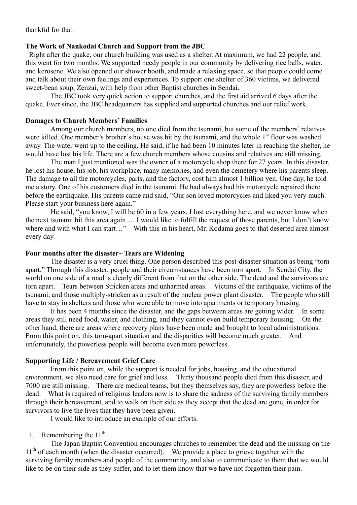thankful for that.

#### **The Work of Nankodai Church and Support from the JBC**

 Right after the quake, our church building was used as a shelter. At maximum, we had 22 people, and this went for two months. We supported needy people in our community by delivering rice balls, water, and kerosene. We also opened our shower booth, and made a relaxing space, so that people could come and talk about their own feelings and experiences. To support one shelter of 360 victims, we delivered sweet-bean soup, Zenzai, with help from other Baptist churches in Sendai.

The JBC took very quick action to support churches, and the first aid arrived 6 days after the quake. Ever since, the JBC headquarters has supplied and supported churches and our relief work.

### **Damages to Church Members' Families**

Among our church members, no one died from the tsunami, but some of the members' relatives were killed. One member's brother's house was hit by the tsunami, and the whole 1<sup>st</sup> floor was washed away. The water went up to the ceiling. He said, if he had been 10 minutes later in reaching the shelter, he would have lost his life. There are a few church members whose cousins and relatives are still missing.

The man I just mentioned was the owner of a motorcycle shop there for 27 years. In this disaster, he lost his house, his job, his workplace, many memories, and even the cemetery where his parents sleep. The damage to all the motorcycles, parts, and the factory, cost him almost 1 billion yen. One day, he told me a story. One of his customers died in the tsunami. He had always had his motorcycle repaired there before the earthquake. His parents came and said, "Our son loved motorcycles and liked you very much. Please start your business here again."

He said, "you know, I will be 60 in a few years, I lost everything here, and we never know when the next tsunami hit this area again…. I would like to fulfill the request of those parents, but I don't know where and with what I can start…" With this in his heart, Mr. Kodama goes to that deserted area almost every day.

#### **Four months after the disaster~ Tears are Widening**

The disaster is a very cruel thing. One person described this post-disaster situation as being "torn apart." Through this disaster, people and their circumstances have been torn apart. In Sendai City, the world on one side of a road is clearly different from that on the other side. The dead and the survivors are torn apart. Tears between Stricken areas and unharmed areas. Victims of the earthquake, victims of the tsunami, and those multiply-stricken as a result of the nuclear power plant disaster. The people who still have to stay in shelters and those who were able to move into apartments or temporary housing.

It has been 4 months since the disaster, and the gaps between areas are getting wider. In some areas they still need food, water, and clothing, and they cannot even build temporary housing. On the other hand, there are areas where recovery plans have been made and brought to local administrations. From this point on, this torn-apart situation and the disparities will become much greater. And unfortunately, the powerless people will become even more powerless.

#### **Supporting Life / Bereavement Grief Care**

From this point on, while the support is needed for jobs, housing, and the educational environment, we also need care for grief and loss. Thirty thousand people died from this disaster, and 7000 are still missing. There are medical teams, but they themselves say, they are powerless before the dead. What is required of religious leaders now is to share the sadness of the surviving family members through their bereavement, and to walk on their side as they accept that the dead are gone, in order for survivors to live the lives that they have been given.

I would like to introduce an example of our efforts.

#### 1. Remembering the  $11<sup>th</sup>$

The Japan Baptist Convention encourages churches to remember the dead and the missing on the 11<sup>th</sup> of each month (when the disaster occurred). We provide a place to grieve together with the surviving family members and people of the community, and also to communicate to them that we would like to be on their side as they suffer, and to let them know that we have not forgotten their pain.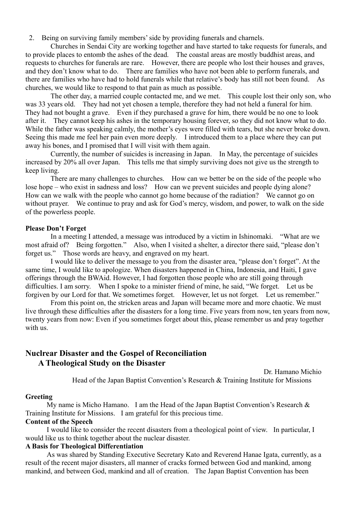2. Being on surviving family members' side by providing funerals and charnels.

Churches in Sendai City are working together and have started to take requests for funerals, and to provide places to entomb the ashes of the dead. The coastal areas are mostly buddhist areas, and requests to churches for funerals are rare. However, there are people who lost their houses and graves, and they don't know what to do. There are families who have not been able to perform funerals, and there are families who have had to hold funerals while that relative's body has still not been found. As churches, we would like to respond to that pain as much as possible.

The other day, a married couple contacted me, and we met. This couple lost their only son, who was 33 years old. They had not yet chosen a temple, therefore they had not held a funeral for him. They had not bought a grave. Even if they purchased a grave for him, there would be no one to look after it. They cannot keep his ashes in the temporary housing forever, so they did not know what to do. While the father was speaking calmly, the mother's eyes were filled with tears, but she never broke down. Seeing this made me feel her pain even more deeply. I introduced them to a place where they can put away his bones, and I promised that I will visit with them again.

Currently, the number of suicides is increasing in Japan. In May, the percentage of suicides increased by 20% all over Japan. This tells me that simply surviving does not give us the strength to keep living.

There are many challenges to churches. How can we better be on the side of the people who lose hope – who exist in sadness and loss? How can we prevent suicides and people dying alone? How can we walk with the people who cannot go home because of the radiation? We cannot go on without prayer. We continue to pray and ask for God's mercy, wisdom, and power, to walk on the side of the powerless people.

#### **Please Don't Forget**

In a meeting I attended, a message was introduced by a victim in Ishinomaki. "What are we most afraid of? Being forgotten." Also, when I visited a shelter, a director there said, "please don't forget us." Those words are heavy, and engraved on my heart.

I would like to deliver the message to you from the disaster area, "please don't forget". At the same time, I would like to apologize. When disasters happened in China, Indonesia, and Haiti, I gave offerings through the BWAid. However, I had forgotten those people who are still going through difficulties. I am sorry. When I spoke to a minister friend of mine, he said, "We forget. Let us be forgiven by our Lord for that. We sometimes forget. However, let us not forget. Let us remember."

From this point on, the stricken areas and Japan will became more and more chaotic. We must live through these difficulties after the disasters for a long time. Five years from now, ten years from now, twenty years from now: Even if you sometimes forget about this, please remember us and pray together with us.

# **Nuclrear Disaster and the Gospel of Reconciliation A Theological Study on the Disaster**

Dr. Hamano Michio Head of the Japan Baptist Convention's Research & Training Institute for Missions

#### **Greeting**

My name is Micho Hamano. I am the Head of the Japan Baptist Convention's Research  $\&$ Training Institute for Missions. I am grateful for this precious time.

#### **Content of the Speech**

 I would like to consider the recent disasters from a theological point of view. In particular, I would like us to think together about the nuclear disaster.

#### **A Basis for Theological Differentiation**

 As was shared by Standing Executive Secretary Kato and Reverend Hanae Igata, currently, as a result of the recent major disasters, all manner of cracks formed between God and mankind, among mankind, and between God, mankind and all of creation. The Japan Baptist Convention has been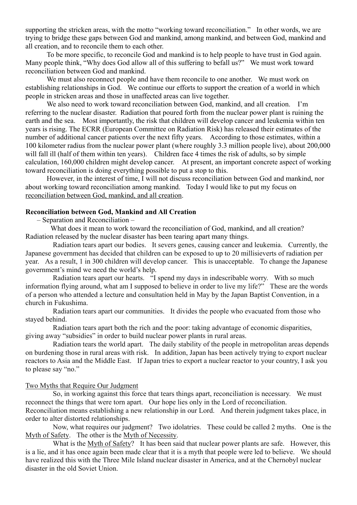supporting the stricken areas, with the motto "working toward reconciliation." In other words, we are trying to bridge these gaps between God and mankind, among mankind, and between God, mankind and all creation, and to reconcile them to each other.

 To be more specific, to reconcile God and mankind is to help people to have trust in God again. Many people think, "Why does God allow all of this suffering to befall us?" We must work toward reconciliation between God and mankind.

 We must also reconnect people and have them reconcile to one another. We must work on establishing relationships in God. We continue our efforts to support the creation of a world in which people in stricken areas and those in unaffected areas can live together.

We also need to work toward reconciliation between God, mankind, and all creation. I'm referring to the nuclear disaster. Radiation that poured forth from the nuclear power plant is ruining the earth and the sea. Most importantly, the risk that children will develop cancer and leukemia within ten years is rising. The ECRR (European Committee on Radiation Risk) has released their estimates of the number of additional cancer patients over the next fifty years. According to those estimates, within a 100 kilometer radius from the nuclear power plant (where roughly 3.3 million people live), about 200,000 will fall ill (half of them within ten years). Children face 4 times the risk of adults, so by simple calculation, 160,000 children might develop cancer. At present, an important concrete aspect of working toward reconciliation is doing everything possible to put a stop to this.

 However, in the interest of time, I will not discuss reconciliation between God and mankind, nor about working toward reconciliation among mankind. Today I would like to put my focus on reconciliation between God, mankind, and all creation.

#### **Reconciliation between God, Mankind and All Creation**

– Separation and Reconciliation –

What does it mean to work toward the reconciliation of God, mankind, and all creation? Radiation released by the nuclear disaster has been tearing apart many things.

 Radiation tears apart our bodies. It severs genes, causing cancer and leukemia. Currently, the Japanese government has decided that children can be exposed to up to 20 millisieverts of radiation per year. As a result, 1 in 300 children will develop cancer. This is unacceptable. To change the Japanese government's mind we need the world's help.

 Radiation tears apart our hearts. "I spend my days in indescribable worry. With so much information flying around, what am I supposed to believe in order to live my life?" These are the words of a person who attended a lecture and consultation held in May by the Japan Baptist Convention, in a church in Fukushima.

 Radiation tears apart our communities. It divides the people who evacuated from those who stayed behind.

 Radiation tears apart both the rich and the poor: taking advantage of economic disparities, giving away "subsidies" in order to build nuclear power plants in rural areas.

 Radiation tears the world apart. The daily stability of the people in metropolitan areas depends on burdening those in rural areas with risk. In addition, Japan has been actively trying to export nuclear reactors to Asia and the Middle East. If Japan tries to export a nuclear reactor to your country, I ask you to please say "no."

#### Two Myths that Require Our Judgment

 So, in working against this force that tears things apart, reconciliation is necessary. We must reconnect the things that were torn apart. Our hope lies only in the Lord of reconciliation. Reconciliation means establishing a new relationship in our Lord. And therein judgment takes place, in order to alter distorted relationships.

 Now, what requires our judgment? Two idolatries. These could be called 2 myths. One is the Myth of Safety. The other is the Myth of Necessity.

What is the Myth of Safety? It has been said that nuclear power plants are safe. However, this is a lie, and it has once again been made clear that it is a myth that people were led to believe. We should have realized this with the Three Mile Island nuclear disaster in America, and at the Chernobyl nuclear disaster in the old Soviet Union.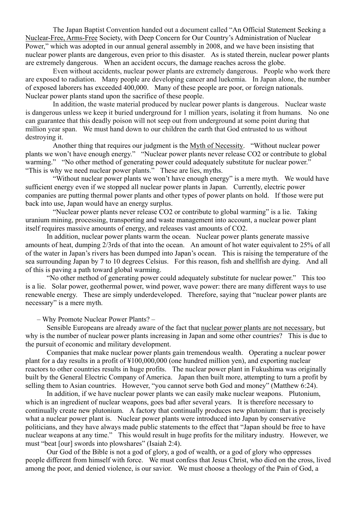The Japan Baptist Convention handed out a document called "An Official Statement Seeking a Nuclear-Free, Arms-Free Society, with Deep Concern for Our Country's Administration of Nuclear Power," which was adopted in our annual general assembly in 2008, and we have been insisting that nuclear power plants are dangerous, even prior to this disaster. As is stated therein, nuclear power plants are extremely dangerous. When an accident occurs, the damage reaches across the globe.

 Even without accidents, nuclear power plants are extremely dangerous. People who work there are exposed to radiation. Many people are developing cancer and luekemia. In Japan alone, the number of exposed laborers has exceeded 400,000. Many of these people are poor, or foreign nationals. Nuclear power plants stand upon the sacrifice of these people.

 In addition, the waste material produced by nuclear power plants is dangerous. Nuclear waste is dangerous unless we keep it buried underground for 1 million years, isolating it from humans. No one can guarantee that this deadly poison will not seep out from underground at some point during that million year span. We must hand down to our children the earth that God entrusted to us without destroying it.

Another thing that requires our judgment is the Myth of Necessity. "Without nuclear power plants we won't have enough energy." "Nuclear power plants never release CO2 or contribute to global warming." "No other method of generating power could adequately substitute for nuclear power." "This is why we need nuclear power plants." These are lies, myths.

 "Without nuclear power plants we won't have enough energy" is a mere myth. We would have sufficient energy even if we stopped all nuclear power plants in Japan. Currently, electric power companies are putting thermal power plants and other types of power plants on hold. If those were put back into use, Japan would have an energy surplus.

 "Nuclear power plants never release CO2 or contribute to global warming" is a lie. Taking uranium mining, processing, transporting and waste management into account, a nuclear power plant itself requires massive amounts of energy, and releases vast amounts of CO2.

 In addition, nuclear power plants warm the ocean. Nuclear power plants generate massive amounts of heat, dumping 2/3rds of that into the ocean. An amount of hot water equivalent to 25% of all of the water in Japan's rivers has been dumped into Japan's ocean. This is raising the temperature of the sea surrounding Japan by 7 to 10 degrees Celsius. For this reason, fish and shellfish are dying. And all of this is paving a path toward global warming.

 "No other method of generating power could adequately substitute for nuclear power." This too is a lie. Solar power, geothermal power, wind power, wave power: there are many different ways to use renewable energy. These are simply underdeveloped. Therefore, saying that "nuclear power plants are necessary" is a mere myth.

– Why Promote Nuclear Power Plants? –

 Sensible Europeans are already aware of the fact that nuclear power plants are not necessary, but why is the number of nuclear power plants increasing in Japan and some other countries? This is due to the pursuit of economic and military development.

 Companies that make nuclear power plants gain tremendous wealth. Operating a nuclear power plant for a day results in a profit of ¥100,000,000 (one hundred million yen), and exporting nuclear reactors to other countries results in huge profits. The nuclear power plant in Fukushima was originally built by the General Electric Company of America. Japan then built more, attempting to turn a profit by selling them to Asian countries. However, "you cannot serve both God and money" (Matthew 6:24).

 In addition, if we have nuclear power plants we can easily make nuclear weapons. Plutonium, which is an ingredient of nuclear weapons, goes bad after several years. It is therefore necessary to continually create new plutonium. A factory that continually produces new plutonium: that is precisely what a nuclear power plant is. Nuclear power plants were introduced into Japan by conservative politicians, and they have always made public statements to the effect that "Japan should be free to have nuclear weapons at any time." This would result in huge profits for the military industry. However, we must "beat [our] swords into plowshares" (Isaiah 2:4).

 Our God of the Bible is not a god of glory, a god of wealth, or a god of glory who oppresses people different from himself with force. We must confess that Jesus Christ, who died on the cross, lived among the poor, and denied violence, is our savior. We must choose a theology of the Pain of God, a